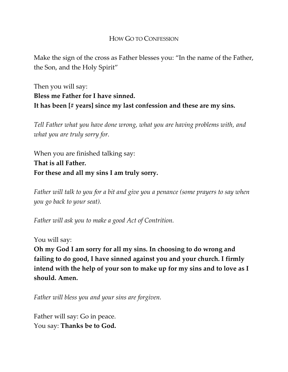# HOW GO TO CONFESSION

Make the sign of the cross as Father blesses you: "In the name of the Father, the Son, and the Holy Spirit"

Then you will say: **Bless me Father for I have sinned. It has been [# years] since my last confession and these are my sins.**

*Tell Father what you have done wrong, what you are having problems with, and what you are truly sorry for.*

When you are finished talking say: **That is all Father. For these and all my sins I am truly sorry.** 

*Father will talk to you for a bit and give you a penance (some prayers to say when you go back to your seat).*

*Father will ask you to make a good Act of Contrition.* 

You will say:

**Oh my God I am sorry for all my sins. In choosing to do wrong and failing to do good, I have sinned against you and your church. I firmly intend with the help of your son to make up for my sins and to love as I should. Amen.** 

*Father will bless you and your sins are forgiven.* 

Father will say: Go in peace. You say: **Thanks be to God.**